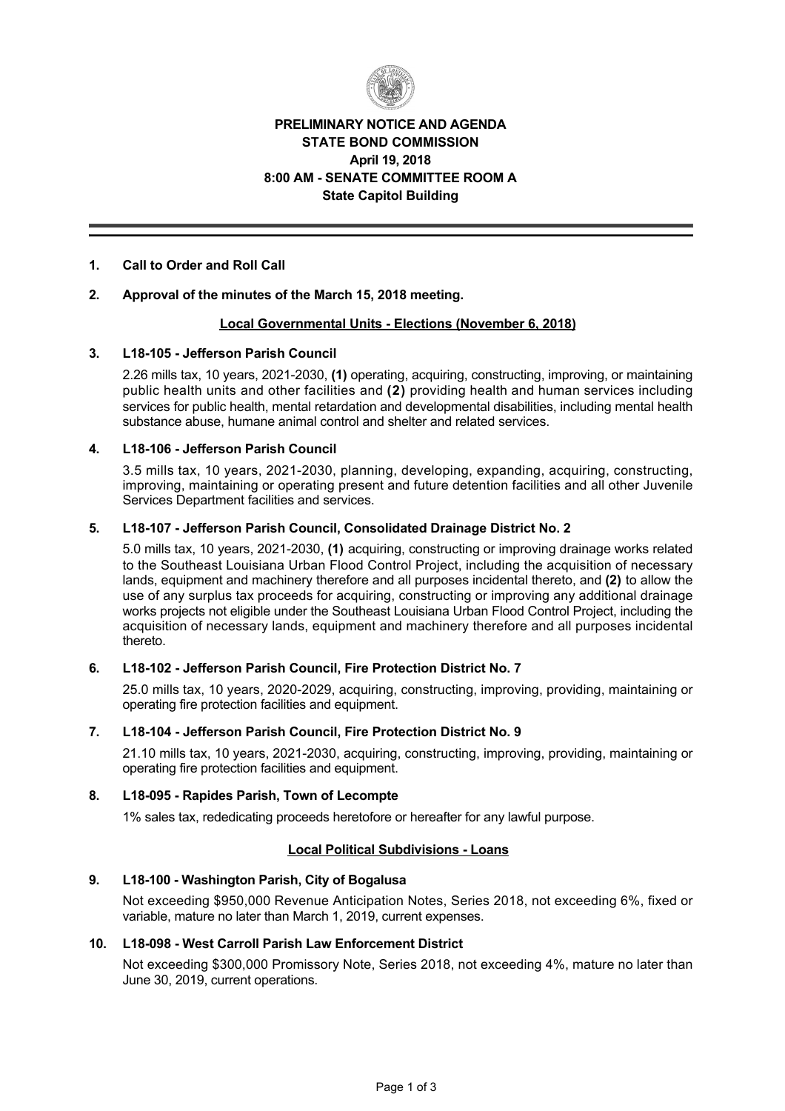

# **PRELIMINARY NOTICE AND AGENDA STATE BOND COMMISSION April 19, 2018 8:00 AM SENATE COMMITTEE ROOM A State Capitol Building**

## **1. Call to Order and Roll Call**

### **2. Approval of the minutes of the March 15, 2018 meeting.**

#### **Local Governmental Units Elections (November 6, 2018)**

### **3. L18105 Jefferson Parish Council**

2.26 mills tax, 10 years, 2021-2030, (1) operating, acquiring, constructing, improving, or maintaining public health units and other facilities and **(2)** providing health and human services including services for public health, mental retardation and developmental disabilities, including mental health substance abuse, humane animal control and shelter and related services.

### **4. L18106 Jefferson Parish Council**

3.5 mills tax, 10 years, 2021-2030, planning, developing, expanding, acquiring, constructing, improving, maintaining or operating present and future detention facilities and all other Juvenile Services Department facilities and services.

### **5. L18107 Jefferson Parish Council, Consolidated Drainage District No. 2**

5.0 mills tax, 10 years, 20212030, **(1)** acquiring, constructing or improving drainage works related to the Southeast Louisiana Urban Flood Control Project, including the acquisition of necessary lands, equipment and machinery therefore and all purposes incidental thereto, and **(2)** to allow the use of any surplus tax proceeds for acquiring, constructing or improving any additional drainage works projects not eligible under the Southeast Louisiana Urban Flood Control Project, including the acquisition of necessary lands, equipment and machinery therefore and all purposes incidental thereto.

## **6. L18102 Jefferson Parish Council, Fire Protection District No. 7**

25.0 mills tax, 10 years, 2020-2029, acquiring, constructing, improving, providing, maintaining or operating fire protection facilities and equipment.

# **7. L18104 Jefferson Parish Council, Fire Protection District No. 9**

21.10 mills tax, 10 years, 2021-2030, acquiring, constructing, improving, providing, maintaining or operating fire protection facilities and equipment.

#### 8. L18-095 - Rapides Parish, Town of Lecompte

1% sales tax, rededicating proceeds heretofore or hereafter for any lawful purpose.

## **Local Political Subdivisions Loans**

#### **9. L18100 Washington Parish, City of Bogalusa**

Not exceeding \$950,000 Revenue Anticipation Notes, Series 2018, not exceeding 6%, fixed or variable, mature no later than March 1, 2019, current expenses.

### 10. L18-098 - West Carroll Parish Law Enforcement District

Not exceeding \$300,000 Promissory Note, Series 2018, not exceeding 4%, mature no later than June 30, 2019, current operations.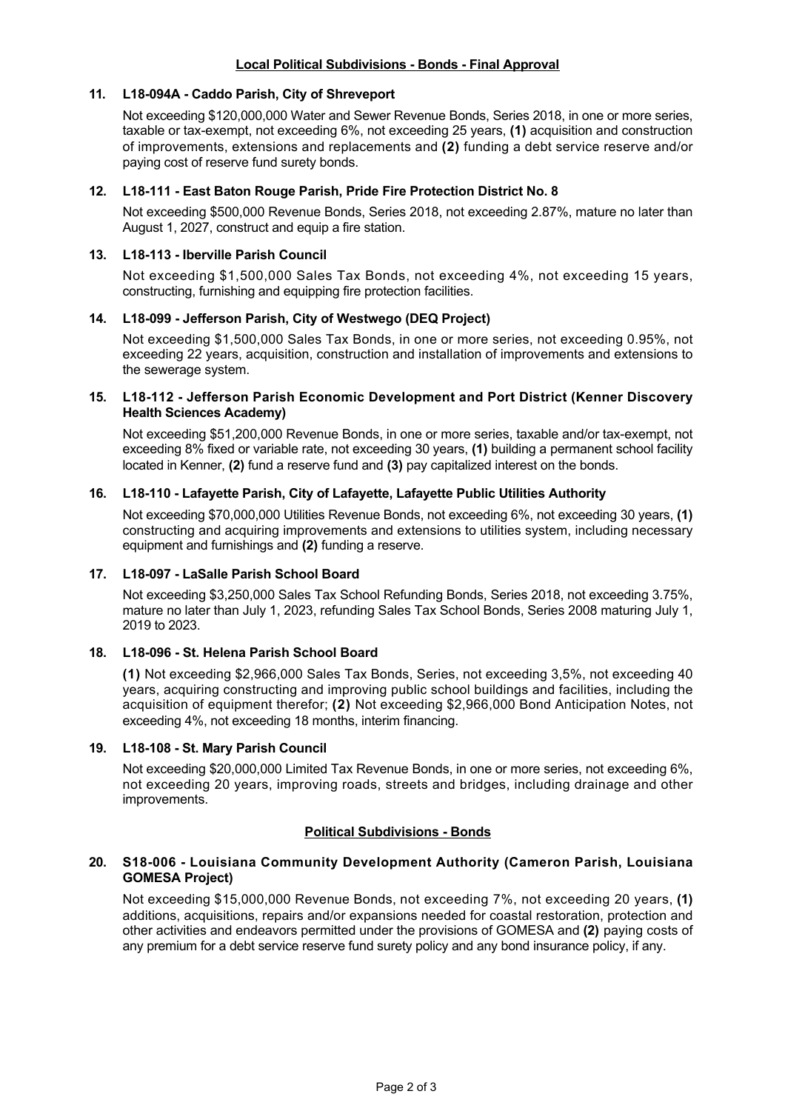## **Local Political Subdivisions - Bonds - Final Approval**

### 11. L18-094A - Caddo Parish, City of Shreveport

Not exceeding \$120,000,000 Water and Sewer Revenue Bonds, Series 2018, in one or more series, taxable or taxexempt, not exceeding 6%, not exceeding 25 years, **(1)** acquisition and construction of improvements, extensions and replacements and **(2)** funding a debt service reserve and/or paying cost of reserve fund surety bonds.

### **12. L18111 East Baton Rouge Parish, Pride Fire Protection District No. 8**

Not exceeding \$500,000 Revenue Bonds, Series 2018, not exceeding 2.87%, mature no later than August 1, 2027, construct and equip a fire station.

#### **13. L18113 Iberville Parish Council**

Not exceeding \$1,500,000 Sales Tax Bonds, not exceeding 4%, not exceeding 15 years, constructing, furnishing and equipping fire protection facilities.

### **14. L18099 Jefferson Parish, City of Westwego (DEQ Project)**

Not exceeding \$1,500,000 Sales Tax Bonds, in one or more series, not exceeding 0.95%, not exceeding 22 years, acquisition, construction and installation of improvements and extensions to the sewerage system.

### **15. L18112 Jefferson Parish Economic Development and Port District (Kenner Discovery Health Sciences Academy)**

Not exceeding \$51,200,000 Revenue Bonds, in one or more series, taxable and/or tax-exempt, not exceeding 8% fixed or variable rate, not exceeding 30 years, **(1)** building a permanent school facility located in Kenner, **(2)** fund a reserve fund and **(3)** pay capitalized interest on the bonds.

### **16. L18110 Lafayette Parish, City of Lafayette, Lafayette Public Utilities Authority**

Not exceeding \$70,000,000 Utilities Revenue Bonds, not exceeding 6%, not exceeding 30 years, **(1)** constructing and acquiring improvements and extensions to utilities system, including necessary equipment and furnishings and **(2)** funding a reserve.

## **17. L18097 LaSalle Parish School Board**

Not exceeding \$3,250,000 Sales Tax School Refunding Bonds, Series 2018, not exceeding 3.75%, mature no later than July 1, 2023, refunding Sales Tax School Bonds, Series 2008 maturing July 1, 2019 to 2023.

#### **18. L18096 St. Helena Parish School Board**

**(1)** Not exceeding \$2,966,000 Sales Tax Bonds, Series, not exceeding 3,5%, not exceeding 40 years, acquiring constructing and improving public school buildings and facilities, including the acquisition of equipment therefor; **(2)** Not exceeding \$2,966,000 Bond Anticipation Notes, not exceeding 4%, not exceeding 18 months, interim financing.

## **19. L18108 St. Mary Parish Council**

Not exceeding \$20,000,000 Limited Tax Revenue Bonds, in one or more series, not exceeding 6%, not exceeding 20 years, improving roads, streets and bridges, including drainage and other improvements.

## **Political Subdivisions - Bonds**

### **20. S18006 Louisiana Community Development Authority (Cameron Parish, Louisiana GOMESA Project)**

Not exceeding \$15,000,000 Revenue Bonds, not exceeding 7%, not exceeding 20 years, **(1)** additions, acquisitions, repairs and/or expansions needed for coastal restoration, protection and other activities and endeavors permitted under the provisions of GOMESA and **(2)** paying costs of any premium for a debt service reserve fund surety policy and any bond insurance policy, if any.